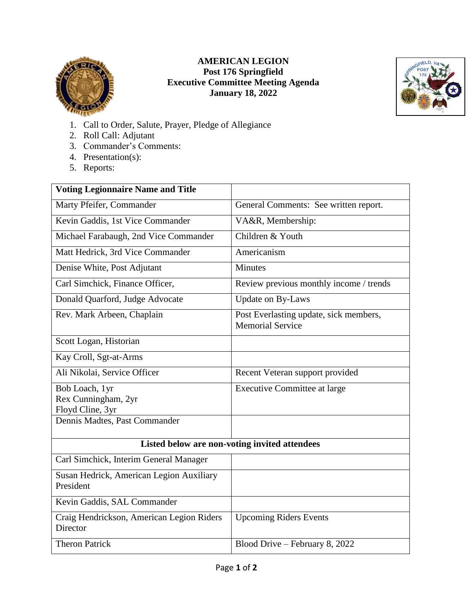

## **AMERICAN LEGION Post 176 Springfield Executive Committee Meeting Agenda January 18, 2022**



- 1. Call to Order, Salute, Prayer, Pledge of Allegiance
- 2. Roll Call: Adjutant
- 3. Commander's Comments:
- 4. Presentation(s):
- 5. Reports:

| <b>Voting Legionnaire Name and Title</b>                                                   |                                                                   |
|--------------------------------------------------------------------------------------------|-------------------------------------------------------------------|
| Marty Pfeifer, Commander                                                                   | General Comments: See written report.                             |
| Kevin Gaddis, 1st Vice Commander                                                           | VA&R, Membership:                                                 |
| Michael Farabaugh, 2nd Vice Commander                                                      | Children & Youth                                                  |
| Matt Hedrick, 3rd Vice Commander                                                           | Americanism                                                       |
| Denise White, Post Adjutant                                                                | <b>Minutes</b>                                                    |
| Carl Simchick, Finance Officer,                                                            | Review previous monthly income / trends                           |
| Donald Quarford, Judge Advocate                                                            | Update on By-Laws                                                 |
| Rev. Mark Arbeen, Chaplain                                                                 | Post Everlasting update, sick members,<br><b>Memorial Service</b> |
| Scott Logan, Historian                                                                     |                                                                   |
| Kay Croll, Sgt-at-Arms                                                                     |                                                                   |
| Ali Nikolai, Service Officer                                                               | Recent Veteran support provided                                   |
| Bob Loach, 1yr<br>Rex Cunningham, 2yr<br>Floyd Cline, 3yr<br>Dennis Madtes, Past Commander | <b>Executive Committee at large</b>                               |
|                                                                                            |                                                                   |
| Listed below are non-voting invited attendees                                              |                                                                   |
| Carl Simchick, Interim General Manager                                                     |                                                                   |
| Susan Hedrick, American Legion Auxiliary<br>President                                      |                                                                   |
| Kevin Gaddis, SAL Commander                                                                |                                                                   |
| Craig Hendrickson, American Legion Riders<br>Director                                      | <b>Upcoming Riders Events</b>                                     |
| <b>Theron Patrick</b>                                                                      | Blood Drive - February 8, 2022                                    |